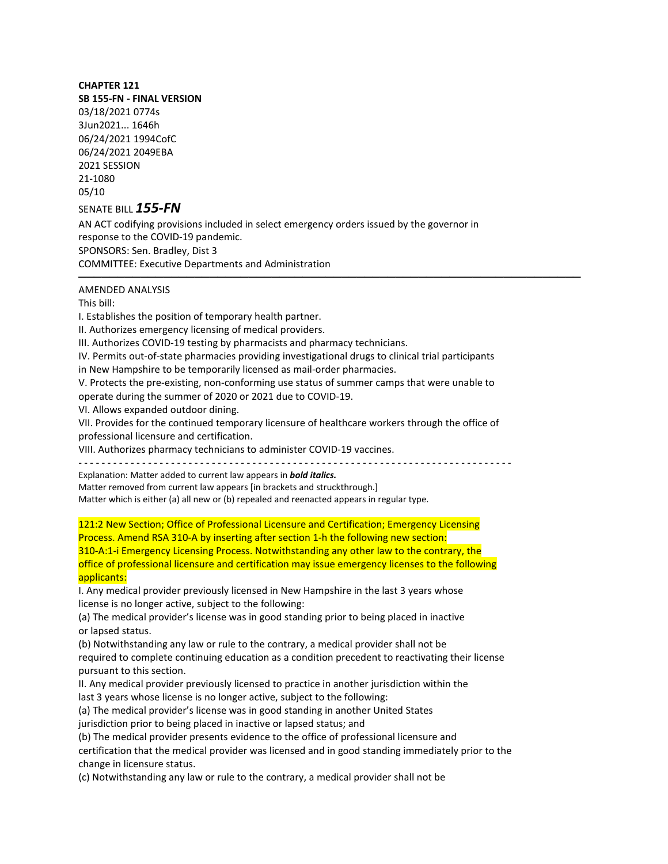## **CHAPTER 121**

**SB 155-FN - FINAL VERSION** 03/18/2021 0774s 3Jun2021... 1646h 06/24/2021 1994CofC 06/24/2021 2049EBA 2021 SESSION 21-1080 05/10

## SENATE BILL *155-FN*

AN ACT codifying provisions included in select emergency orders issued by the governor in response to the COVID-19 pandemic. SPONSORS: Sen. Bradley, Dist 3 COMMITTEE: Executive Departments and Administration

## ───────────────────────────────────────────────────────────────── AMENDED ANALYSIS

This bill:

I. Establishes the position of temporary health partner.

II. Authorizes emergency licensing of medical providers.

III. Authorizes COVID-19 testing by pharmacists and pharmacy technicians.

IV. Permits out-of-state pharmacies providing investigational drugs to clinical trial participants

in New Hampshire to be temporarily licensed as mail-order pharmacies.

V. Protects the pre-existing, non-conforming use status of summer camps that were unable to

operate during the summer of 2020 or 2021 due to COVID-19.

VI. Allows expanded outdoor dining.

VII. Provides for the continued temporary licensure of healthcare workers through the office of professional licensure and certification.

VIII. Authorizes pharmacy technicians to administer COVID-19 vaccines.

- - - - - - - - - - - - - - - - - - - - - - - - - - - - - - - - - - - - - - - - - - - - - - - - - - - - - - - - - - - - - - - - - - - - - - - - - - -

Explanation: Matter added to current law appears in *bold italics.*

Matter removed from current law appears [in brackets and struckthrough.]

Matter which is either (a) all new or (b) repealed and reenacted appears in regular type.

121:2 New Section; Office of Professional Licensure and Certification; Emergency Licensing Process. Amend RSA 310-A by inserting after section 1-h the following new section: 310-A:1-i Emergency Licensing Process. Notwithstanding any other law to the contrary, the office of professional licensure and certification may issue emergency licenses to the following applicants:

I. Any medical provider previously licensed in New Hampshire in the last 3 years whose license is no longer active, subject to the following:

(a) The medical provider's license was in good standing prior to being placed in inactive or lapsed status.

(b) Notwithstanding any law or rule to the contrary, a medical provider shall not be required to complete continuing education as a condition precedent to reactivating their license pursuant to this section.

II. Any medical provider previously licensed to practice in another jurisdiction within the last 3 years whose license is no longer active, subject to the following:

(a) The medical provider's license was in good standing in another United States jurisdiction prior to being placed in inactive or lapsed status; and

(b) The medical provider presents evidence to the office of professional licensure and certification that the medical provider was licensed and in good standing immediately prior to the change in licensure status.

(c) Notwithstanding any law or rule to the contrary, a medical provider shall not be